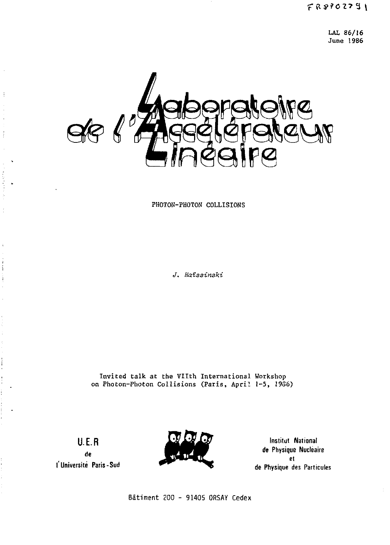LAL 86/16 June 1986



PHOTON-PHOTON COLLISIONS

*J. Haîssineki* 

Invited talk at the Vllth International Workshop on Photon-Photon Collisions (Paris, April 1-5, 1986)

U.E.R

 $\frac{1}{2}$ 

and the state of the

÷. ż Ĥ Í

j

**de l'Université Paris-Sud** 



**Institut National**  *it* **Physique Nucléaire et de Physique des Particules** 

Bâtiment ZOO - 91405 ORSAY Cedex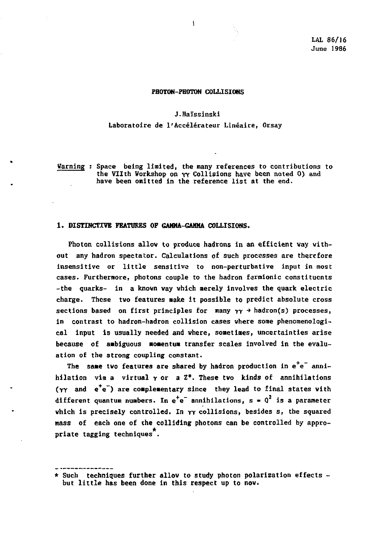# **PHOTON-PHOTON COLLISIONS**

# **J.Haïssinski**

# **Laboratoire de l'Accélérateur Linéaire, Orsay**

**Warning : Space being limited, the many references to contributions to the VTIth Workshop on rv Collisions have been noted 0) and have been omitted in the reference list at the end.** 

## **1. DISTINCTIVE FEATURES OF GAMMA-GAMMA COLLISIONS.**

**Photon collisions allow to produce hadrons in an efficient way without any hadron spectator. Calculations of such processes are therefore insensitive or little sensitive to non-perturbative input in most cases. Furthermore, photons couple to the hadron fermionic constituents -the quarks- in a known way which merely involves the quark electric charge. These two features make it possible to predict absolute cross sections based on first principles for many Y Y •\* hadron(s) processes, in contrast to hadron-hadron collision cases where some phencmenological input is usually needed and where, sometimes, uncertainties arise because of ambiguous momentum transfer scales involved in the evaluation of the strong coupling constant.** 

The same two features are shared by hadron production in e<sup>+</sup>e<sup>-</sup> annihilation via a virtual  $\gamma$  or a  $Z^o$ . These two kinds of annihilations (yy and e<sup>+</sup>e<sup>-</sup>) are complementary since they lead to final states with different quantum numbers. In  $e^+e^-$  annihilations,  $s = 0^2$  is a parameter which is precisely controlled. In  $\gamma\gamma$  collisions, besides s, the squared **mass of each one of the colliding photons can be controlled by appropriate tagging techniques .** 

**<sup>\*</sup> Such techniques further allow to study photon polarization effects but little has been done in this respect up to now.**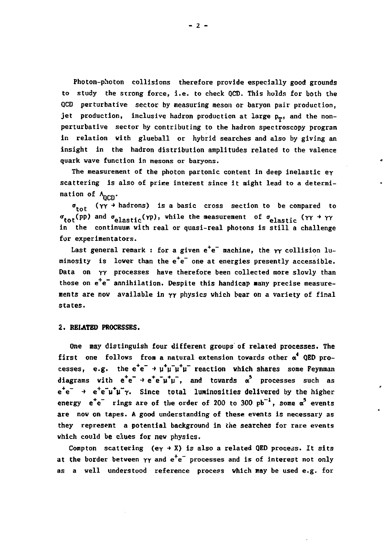**Photon-photon collisions therefore provide especially good grounds to study the strong force, i.e. to check QCD. This holds for both the QCD perturbative sector by measuring meson or baryon pair production,**  jet production, inclusive hadron production at large p<sub>r</sub>, and the non**perturbative sector by contributing to the hadron spectroscopy program in relation with glueball or hybrid searches and also by giving an insight in the hadron distribution amplitudes related to the valence quark wave function in mesons or baryons.** 

**The measurement of the photon partonic content in deep inelastic ey scattering is also of prime interest since it might lead to a determi**nation of  $\lambda_{n\text{CD}}$ .

 $\sigma_{\text{tot}}$  ( $\gamma \gamma$   $*$  hadrons) is a basic cross section to be compared to  $\sigma_{\text{tot}}(\text{pp})$  and  $\sigma_{\text{elastic}}(\text{pp})$ , while the measurement of  $\sigma_{\text{elastic}}(\text{YY + YY})$ **in the continuum with real or quasi-real photons is still a challenge for expérimentators.** 

Last general remark : for a given  $e^+e^-$  machine, the  $\gamma\gamma$  collision luminosity is lower than the e<sup>+</sup>e<sup>-</sup> one at energies presently accessible. **Data on ry processes have therefore been collected more slowly than**  those on e<sup>+</sup>e<sup>-</sup> annihilation. Despite this handicap many precise measure**ments are now available in yy physics which bear on a variety of final states.** 

# **2. BELATED PROCESSES.**

**One may distinguish four different groups of related processes. The first one follows from a natural extension towards other** *a\** **QED processes.** e.g. the e<sup>+</sup>e<sup>-</sup> + u<sup>+</sup>u<sup>-</sup>u<sup>+</sup>u<sup>-</sup> reaction which shares some Feynman **diagrams** with  $e^+e^- + e^+e^-\mu^+\mu^-$ , and towards  $\alpha^5$  processes such as **e <sup>+</sup> e" -> e+e~y'fM"Y. Since total luminosities delivered by the higher energy**  $e^+e^-$  **rings** are of the order of 200 to 300  $pb^{-1}$ , some  $\alpha^5$  events **are now on tapes. A good understanding of these events is necessary as they represent a potential background in the searches for rare events which could be clues for new physics.** 

Compton scattering  $(e_Y \rightarrow X)$  is also a related QED process. It sits at the border between  $\gamma\gamma$  and e<sup>+</sup>e<sup>-</sup> processes and is of interest not only **as a well understood reference process which may be used e.g. for**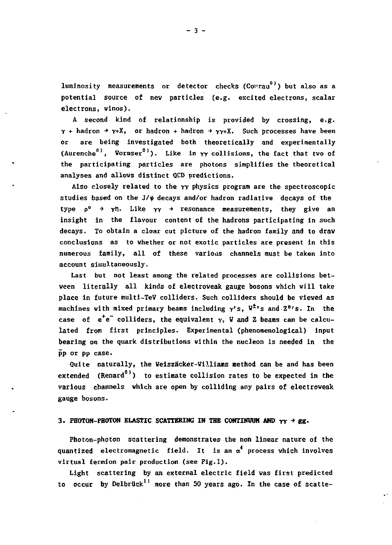luminosity measurements or detector checks (Cowrau<sup>0)</sup>) but also as a potential source of nev particles (e.g. excited electrons, scalar electrons, winos).

A second kind of relationship is provided by crossing, e.g.  $\gamma$  + hadron  $\rightarrow \gamma + X$ , or hadron + hadron  $\rightarrow \gamma \gamma + X$ . Such processes have been are being investigated both theoretically and experimentally (Aurenche<sup>0)</sup>, Wormser<sup>0</sup>). Like in  $\gamma\gamma$  collisions, the fact that two of the participating particles are photons simplifies the theoretical analyses and allows distinct QCD predictions.

Also closely related to the YY physics program are the spectroscopic studies based on the  $J/\psi$  decays and/or hadron radiative decays of the type  $p^{\circ} \rightarrow \gamma \eta$ . Like  $\gamma \gamma \rightarrow$  resonance measurements, they give an insight in the flavour content of the hadrohs participating in such decays. To obtain a clear cut picture of the hadron family and to drav conclusions as to whether or not exotic particles are present in this numerous family, all of these various channels must be taken into account simultaneously.

Last but not least among the related processes are collisions betveen literally all kinds of electroveak gauge bosons vhich vill take place in future multi-TeV colliders. Such colliders should be viewed as machines with mixed primary beams including Y'S, **tf\*'s** and 2°'S. In the case of  $e^+e^-$  colliders, the equivalent  $\gamma$ , W and Z beams can be calculated from first principles. Experimental (phenomenological) input bearing on the quark distributions vithin the nucleon is needed in the pp or pp case.

Quite naturally, the Weiszâcker-Villians method can be and has been extended (Renard<sup>0)</sup>) to estimate collision rates to be expected in the various channels vhich are open by colliding any pairs of electroveak gauge bosons.

# 3. PHOTON-PHOTON ELASTIC SCATTERING IN THE CONTINUUM AND  $\gamma \gamma \rightarrow g g$ ,

Photon-photon scattering demonstrates the non linear nature of the quantized electromagnetic field. It is an  $\alpha^4$  process which involves virtual fermion pair production (see Fig.l).

Light scattering by an external electric field vas first predicted to occur by Delbrück<sup>11</sup> more than 50 years ago. In the case of scatte-

- 3 -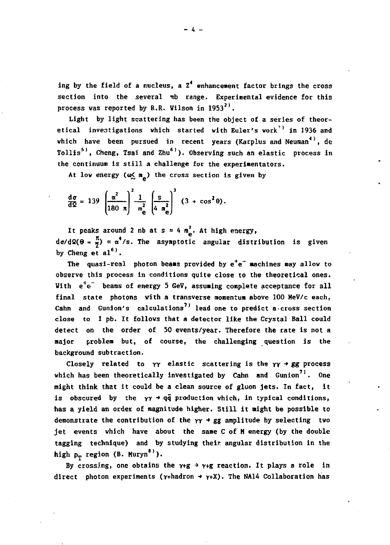ing by the field of a nucleus, a Z<sup>4</sup> enhancement factor brings the cross section into the several mb range. Experimental evidence for this **process was reported by R.R. Wilson in 1953<sup>2</sup> '.** 

**Light by light scattering has been the object of a series of theoretical investigations which started with Euler's work'1 in 1936 and which have been pursued in recent years (Karplus and Neuman<sup>4</sup> ', de Tollis<sup>5</sup> ', Cheng, Tsai and Zhu 6 1 ) . Observing such an elastic process in the continuum is still a challenge for the experinentators.** 

At low energy  $(\omega \leq n_{\rho})$  the cross section is given by

$$
\frac{\mathrm{d}\sigma}{\mathrm{d}\Omega} = 139 \left( \frac{\alpha^2}{180 \text{ n}} \right)^2 \frac{1}{m_e^2} \left( \frac{\mathrm{s}}{4 \text{ m}_e^2} \right)^3 \left( 3 + \cos^2 \theta \right).
$$

It peaks around 2 nb at  $s = 4 \frac{m^2}{a}$ . At high energy,  $d\sigma/d\Omega(\theta = \frac{\pi}{N}) \approx \alpha^4/s$ . The asymptotic angular distribution is given **by Cheng et al6 '.** 

**The quasi-real photon beams provided by e\*e~ machines may allow to observe this process in conditions quite close to the theoretical ones.**  With e<sup><sup>+</sup>e<sup>-</sup> beams of energy 5 GeV, assuming complete acceptance for all</sup> **final state photons with a transverse momentum above 100 HeV/c each,**  Cahn and Gunion's calculations<sup>7)</sup> lead one to predict a cross section **close to 1 pb. It follows that a detector like the Crystal Ball could detect on the order of SO events/year. Therefore the rate is not a major problem but, of course, the challenging question is the background subtraction.** 

Closely related to  $\gamma\gamma$  elastic scattering is the  $\gamma\gamma \rightarrow gg$  process which has been theoretically investigated by Cahn and Gunion<sup>71</sup>. One **might think that it could be a clean source of gluon jets. In fact, it is obscured by the Y Y -» qq production which, in typical conditions, has a yield an order of magnitude higher. Still it night be possible to**  demonstrate the contribution of the  $\gamma \gamma \rightarrow gg$  amplitude by selecting two **jet events which have about the same C of H energy (by the double tagging technique) and by studying their angular distribution in the**  high  $p_T$  region (B. Muryn<sup>8)</sup>).

By crossing, one obtains the  $\gamma$ +g +  $\gamma$ +g reaction. It plays a role in **direct photon experiments (Y+hadron ->** *y+X).* **The NA14 Collaboration has**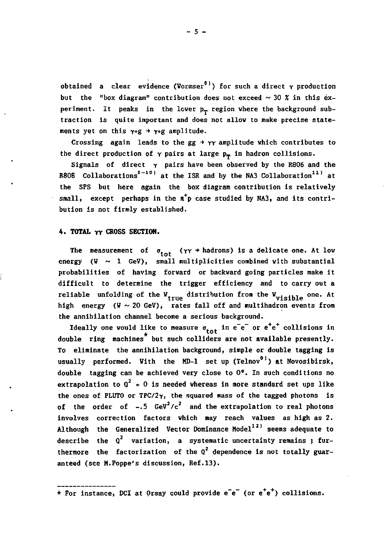obtained a clear evidence (Wormser<sup>0)</sup>) for such a direct  $\gamma$  production but the "box diagram" contribution does not exceed  $\sim$  30  $\frac{x}{y}$  in this experiment. It peaks in the lower  $p_T$  region where the background subtraction is quite important and does not allow to make precise statements yet on this  $\gamma$ +g +  $\gamma$ +g amplitude.

Crossing again leads to the  $gx \rightarrow \gamma \gamma$  amplitude which contributes to the direct production of  $\gamma$  pairs at large  $p_m$  in hadron collisions.

Signals of direct  $\gamma$  pairs have been observed by the R806 and the R80B Collaborations<sup>2</sup><sup>-10</sup>' at the ISR and by the NA3 Collaboration<sup>11</sup>' at the SFS but here again the box diagram contribution is relatively small, except perhaps in the  $\pi^+$ p case studied by NA3, and its contribution is not firmly established.

# **4. TOTAL YY CROSS SECTION.**

The measurement of  $\sigma_{\text{tot}}$  ( $\gamma\gamma$   $\rightarrow$  hadrons) is a delicate one. At low energy  $(\mathbb{V} \sim 1$  GeV), small multiplicities combined with substantial probabilities of having forward or backward going particles make it difficult to determine the trigger efficiency and to carry out a reliable unfolding of the W<sub>true</sub> distribution from the W<sub>uisible</sub> one. At high energy ( $V \sim 20$  GeV), rates fall off and multihadron events from the annihilation channel become a serious background.

Ideally one would like to measure  $\sigma_{tot}$  in e<sup>-</sup>e<sup>-</sup> or e<sup>+</sup>e<sup>+</sup> collisions in double ring machines<sup>\*</sup> but such colliders are not available presently. To eliminate the annihilation background, simple or double tagging is usually performed. With the MD-1 set up (Telnov<sup>0)</sup>) at Novosibirsk, double tagging can be achieved very close to 0°. In such conditions no extrapolation to  $q^2 = 0$  is needed whereas in more standard set ups like the ones of PLUTO or TPC/2 $\gamma$ , the squared mass of the tagged photons is of the order of  $-.5$  GeV<sup>2</sup>/c<sup>2</sup> and the extrapolation to real photons involves correction factors which may reach values as high as 2. Although the Generalized Vector Dominance Model<sup>12)</sup> seems adequate to describe the  $Q^2$  variation, a systematic uncertainty remains ; furthermore the factorization of the  $q^2$  dependence is not totally guaranteed (see H.Poppe's discussion, Ref.13).

\* For instance, DCI at Orsay could provide e<sup>-</sup>e<sup>-</sup> (or e<sup>-</sup>e<sup>-</sup>) collisions.

- 5 -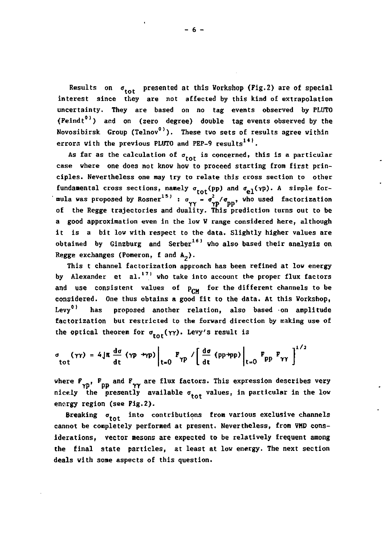**Results on** *a* **presented at this Workshop (Fig.2) are of special interest since they are not affected by this kind of extrapolation uncertainty. They are based on no tag events observed by PLUTO (Feindt ') and on (zero degree) double tag events observed by the**  Novosibirsk Group (Telnov<sup>0)</sup>). These two sets of results agree within **errors with the previous PLUTO and PEP-9 results<sup>141</sup> .** 

As far as the calculation of  $\sigma_{\text{tot}}$  is concerned, this is a particular **case where one does not know how to proceed starting from first principles. Nevertheless one may try to relate this cross section to other fundamental cross sections, namely**  $\sigma_{\text{tot}}(\text{pp})$  and  $\sigma_{\text{e1}}(\gamma)$ . A simple for-<br>
mula was proposed by Rosner<sup>15)</sup> :  $\sigma_{\gamma\gamma} = \sigma_{\gamma}^2/\sigma_{\text{pp}}$ , who used factorization **r** *La* Jectories and doality. This pr **a** good approximation even in the low W range considered here, although it is a bit low with respect to the data. Slightly higher values are obtained by Ginzburg and Serber<sup>16)</sup> who also based their analysis on **Regge exchanges (Pomeron, f and**  $A_2$ **).** 

This t channel factorization approach has been refined at low energy by Alexander et al.<sup>17</sup> who take into account the proper flux factors and use consistent values of  $p_{rw}$  for the different channels to be **considered.** One thus obtains a good fit to the data. At this Workshop,<br>Levv<sup>0)</sup> has proposed another relation, also based on amplitude proposed another relation, also based on amplitude factorization but restricted to the forward direction by making use of the optical theorem for  $\sigma_{tot}(\gamma\gamma)$ . Levy's result is

$$
\sigma_{\text{tot}}(\gamma\gamma) = 4\,\text{J}\pi \frac{\text{d}\sigma}{\text{d}t} (\gamma p \rightarrow \gamma p) \bigg|_{t=0} F_{\gamma p} / \bigg[ \frac{\text{d}\sigma}{\text{d}t} (\text{pp}\rightarrow \text{pp}) \bigg|_{t=0} F_{\text{pp}} F_{\gamma\gamma} \bigg]^{1/2}
$$

where  $F_{\gamma p}$ ,  $F_{\rho p}$  and  $F_{\gamma \gamma}$  are flux factors. This expression describes very nicely the presently available  $\sigma_{\text{tot}}$  values, in particular in the low **energy region (see Fig.2).** 

Breaking  $\sigma_{\text{tot}}$  into contributions from various exclusive channels **cannot be completely performed at present. Nevertheless, from VHD considerations.** vector mesons are expected to be relatively frequent among **the final state particles, at least at low energy. The next section deals with some aspects of this question.**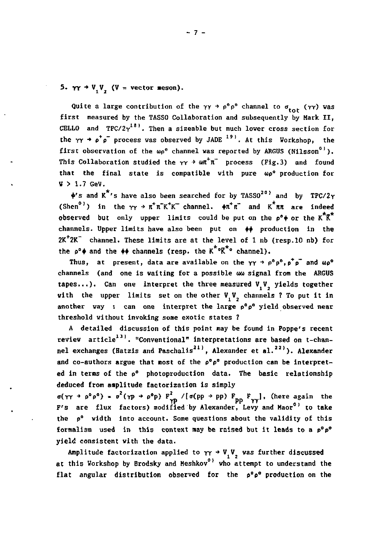5.  $\gamma \gamma \rightarrow V, V,$  (V = vector meson).

Quite a large contribution of the  $\gamma \gamma \rightarrow \rho^{\circ} \rho^{\circ}$  channel to  $\sigma_{\text{tot}}$  ( $\gamma \gamma$ ) was **first measured by the TASSO Collaboration and subsequently by Mark II,**  CELLO and  $TPC/2\gamma^{18}$ . Then a sizeable but much lower cross section for the  $YY \rightarrow \rho^+ \rho^-$  process was observed by JADE <sup>19</sup>. At this Workshop, the **first observation of the wp° channel was reported by ARGUS (Nilsson0 1 ).**  This Collaboration studied the  $\gamma \gamma \rightarrow \omega \pi^+ \pi^-$  process (Fig.3) and found **that the final state is compatible with pure up" production for**  *V >* **1.7 GeV.** 

**+'s and K 's have also been searched for by TASSO2 0 <sup>&</sup>gt; and by TPC/2 Y**   $(Khen<sup>0</sup>)$  in the  $\gamma\gamma \to \pi^+\pi^-\kappa^+\kappa^-$  channel.  $\phi\pi^+\pi^-$  and  $K^+\pi\pi$  are indeed **observed** but only upper limits could be put on the  $e^{\phi}$  or the  $K^{\pi}K^{\pi}$ channels. Upper limits have also been put on  $\phi$  production in the **2K<sup>+</sup> 2K~ channel. These limits are at the level of 1 nb (resp.10 nb) for**  the  $\rho^{\circ}$  and the  $\phi$  channels (resp. the  $K^* \circ K^* \circ$  channel).

Thus, at present, data are available on the  $\gamma \gamma \rightarrow \rho^0 \rho^0$ ,  $\rho^+ \rho^-$  and  $\omega \rho^0$ **channels (and one is waiting for a possible uu signal from the ARGUS**  tapes...). Can one interpret the three measured V<sub>, V</sup>, yields together</sub> with the upper limits set on the other V<sub>1</sub>V<sub>2</sub> channels ? To put it in **another way : can one interpret the large p°p° yield observed near threshold without invoking some exotic states ?** 

**A detailed discussion of this point may be found in Poppe's recent review article<sup>131</sup> . "Conventional" interpretations are based on t-channel exchanges (Batzis and Paschalis2 1 ', Alexander et al. 22> ) . Alexander and co-authors argue that most of the p°p° production can be interpreted in terms of the p° photoproduction data. The basic relationship deduced from amplitude factorization is simply** 

 $\sigma(\gamma \gamma + \rho^2 \rho^2) = \sigma(\gamma \rho + \rho^2 \rho)$  **F**<sub>2</sub><sup>2</sup> /[ $\sigma(\rho \rho + \rho)$  **F**<sub>2</sub><sup>2</sup> **p**<sub>0</sub><sup>1</sup> **F**<sub>2</sub><sup>2</sup> *l*<sub>1</sub>. (here again the **F's are flux factors) modified by Alexander, Levy and Maor°' to take the p° width into account. Some questions about the validity of this formalism used in this context nay be raised but it leads to a p°p° yield consistent with the data.** 

Amplitude factorization applied to  $\gamma \gamma \rightarrow V_y V_z$  was further discussed **at this Workshop by Brodsky and Heshkov<sup>0</sup> <sup>1</sup> who attempt to understand the flat angular distribution observed for the p°p° production on the**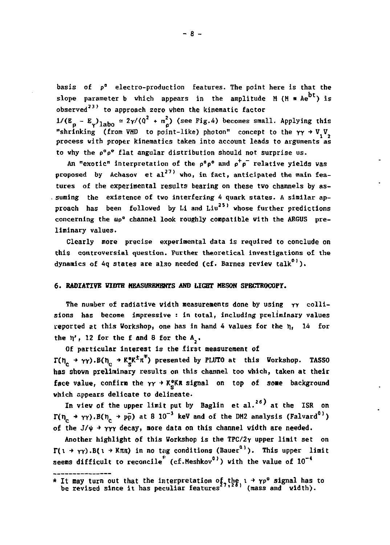**basis of p° electro-production features. The point here is that the**  slope parameter **b** which appears in the amplitude M ( $M = Ae^{bt}$ ) is **observed3 3 ' to approach zero when the kinematic factor** 

 $1/(\mathbb{E}_{\rho} - \mathbb{E}_{\gamma})_{1\text{abo}} \approx 2\gamma/(\theta^2 + \mathbb{m}_\rho^2)$  (see Fig.4) becomes small. Applying this "shrinking (from VMD to point-like) photon" concept to the  $\gamma \gamma \rightarrow V$ , V<sub>-</sub> **process with proper kinematics taken into account leads to arguments as to why the P°P <sup>C</sup> flat angular distribution should not surprise us.** 

**An "exotic" interpretation of the p°p° and p<sup>+</sup> p~ relative yields vas**  proposed by Achasov et al<sup>27)</sup> who, in fact, anticipated the main fea**tures of the experimental results bearing on these two channels by as- . suming the existence of two interfering 4 quark states. A similar ap**proach has been followed by Li and Liu<sup>25)</sup> whose further predictions **concerning the up" channel look roughly compatible with the ARGUS preliminary values.** 

**Clearly more precise experimental data is required to conclude on this controversial question. Further theoretical investigations of the dynamics of 4q states are also needed (cf. Barnes review talk<sup>0</sup> ').** 

#### **6. RADIATIVE WIDTH MEASUREMENTS AND LIGHT MESON SPECTROCOPT.**

The number of radiative width measurements done by using  $\gamma\gamma$  colli**sions has become impressive : in total, including preliminary values**  reported at this Workshop, one has in hand 4 values for the  $\eta_1$  14 for the  $\eta'$ , 12 for the f and 8 for the  $A_$ .

**Of particular interest is the first measurement of**   $\Gamma(\eta_{\rho} + \gamma \gamma) \cdot B(\eta_{\rho} + K_{\gamma}^{\alpha} K^{\dagger} \pi^{\dagger})$  presented by PLUTO at this Workshop. TASSO **has shovn preliminary results on this channel too which, taken at their**  face value, confirm the  $\gamma \gamma \rightarrow K^{\alpha}_{\alpha}$ KR signal on top of some background **which appears delicate to delineate.** 

In view of the upper limit put by Baglin et al.<sup>26</sup>) at the ISR on  $\Gamma(\eta_c \to \gamma \gamma) \cdot B(\eta_c \to p\bar{p})$  at 8 10<sup>-3</sup> keV and of the DM2 analysis (Falvard<sup>0</sup>) of the  $J/\psi \rightarrow \gamma \gamma \gamma$  decay, more data on this channel width are needed.

Another highlight of this Workshop is the TPC/2 $\gamma$  upper limit set on  $\Gamma(1 \rightarrow \gamma \gamma)$ . B( $1 \rightarrow$  K $\pi$ **R**) in no tag conditions (Bauer<sup>01</sup>). This upper limit seems difficult to reconcile<sup>\*</sup> (cf.Meshkov<sup>0)</sup>) with the value of 10<sup>-4</sup>

**<sup>\*</sup> It may turn out that the interpretation of the i •> YP° signal has to be revised since it has peculiar features ' (mass and width).**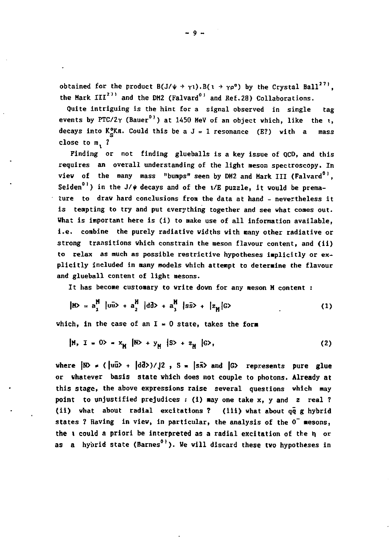**obtained for the product**  $B(J/\psi + \gamma_1) \cdot B(\iota + \gamma_0^0)$  **by the Crystal Ball<sup>271</sup>.** the Mark III<sup>271</sup> and the DM2 (Falvard<sup>01</sup> and Ref.28) Collaborations.

**Quite intriguing is the hint for a signal observed in single tag events by PTC/2** $\gamma$  (Bauer<sup>0)</sup>) at 1450 MeV of an object which, like the  $\iota$ , decays into  $K^o_S$ Kn. Could this be a  $J = 1$  resonance (E?) with a mass close to m<sub>2</sub> ?

**Finding or not finding glueballs is a key issue of QCD, and this requires an overall understanding of the light meson spectroscopy. In view of the many mass "bumps" seen by DM2 and Mark III (Falvard0',**  Seiden<sup>01</sup>) in the J/ $\psi$  decays and of the  $1/E$  puzzle, it would be prema**ture to draw hard conclusions from the data at hand - nevertheless it is tempting to try and put everything together and see what comes out. What is important here is (i) to make use of all information available, i.e. combine the purely radiative widths with many other radiative or strong transitions which constrain the meson flavour content, and (ii) to relax as much as possible restrictive hypotheses implicitly or explicitly included in «any models which attempt to determine the flavour and glueball content of light mesons.** 

**It has become customary to write down for any meson H content :** 

$$
|H\rangle = a_1^H |u\tilde{u}\rangle + a_2^H |d\tilde{d}\rangle + a_3^H |s\tilde{s}\rangle + |z_H|G\rangle
$$
 (1)

which, in the case of an  $I = 0$  state, takes the form

$$
|H_1 I = 0 \rangle = x_{\text{H}} |N \rangle + y_{\text{H}} |S \rangle + z_{\text{H}} |G \rangle, \qquad (2)
$$

where  $|N\rangle$  =  $(|u\bar{u}\rangle + |d\bar{d}\rangle)/|2$ ,  $S = |s\bar{s}\rangle$  and  $|G\rangle$  represents pure glue **or whatever basis state vhich does not couple to photons. Already at this stage, the above expressions raise several questions which may point to unjustified prejudices : (i) may one take x, y and z real ? (ii) what about radial excitations ? (iii) what about qq g hybrid states ? Having in view, in particular, the analysis of the 0~ mesons, the t could a priori be interpreted as a radial excitation of the** *t\* **or**  as a hybrid state (Barnes<sup>0)</sup>). We will discard these two hypotheses in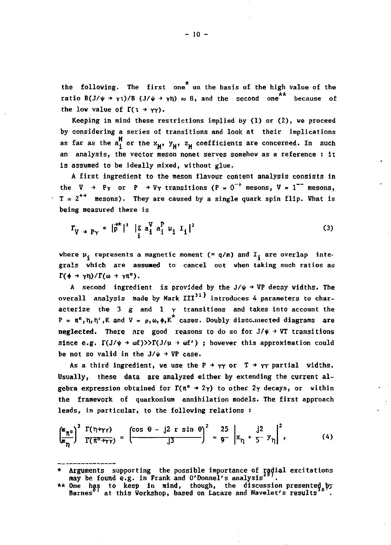the following. The first one<sup>\*</sup> on the basis of the high value of the  ${\bf F}$  **B(J/** $\psi \to \gamma$ **1)/B (J/** $\psi \to \gamma$ **h)**  $\approx 8$ , and the second one because of the low value of  $\Gamma(1 + \gamma\gamma)$ .

**Keeping in mind these restrictions implied by (1) or (2), we proceed by considering a series of transitions and look at their implications**  as far as the  $a_i^M$  or the  $x_M$ ,  $y_M$ ,  $z_M$  coefficients are concerned. In such an analysis, the vector meson nonet serves somehow as a reference : it **is assumed to be ideally mixed, without glue.** 

A first ingredient to the meson flavour content analysis consists in the  $V \rightarrow Py$  or  $P \rightarrow Vy$  transitions ( $P = 0^{-+}$  mesons,  $V = 1^{-+}$  mesons,  $T = 2^{++}$  mesons). They are caused by a single quark spin flip. What is being measured there is

$$
\Gamma_{V \to P\gamma} \propto |\vec{p}^*|^{3} |\tilde{z} \, a_{i}^{V} a_{i}^{P} u_{i} I_{i}|^{2}
$$
 (3)

where  $\mu_i$  represents a magnetic moment ( $\alpha$  q/m) and  $I_i$  are overlap inte**grals which are assumed to cancel out when taking such ratios as**   $\Gamma(\phi \to \gamma \eta)/\Gamma(\omega \to \gamma \pi^{\circ}).$ 

A second ingredient is provided by the  $J/\psi \rightarrow VP$  decay widths. The overall analysis made by Mark III<sup>31</sup>) introduces 4 parameters to char**acterize the 3 g and 1 Y transitions and takes into account the**   $P = \pi^0$ , h, h', K and  $V = p$ ,  $\omega$ ,  $\phi$ , K<sup>\*</sup> cases. Doubly discommected diagrams are **neglected.** There are good reasons to do so for  $J/\psi \rightarrow VT$  transitions  $\sin$ ce e.g.  $\Gamma(J/\psi \rightarrow \omega f)$ )) $\Gamma(J/\mu \rightarrow \omega f')$ ; however this approximation could be not so valid in the  $J/\psi \rightarrow VP$  case.

As a third ingredient, we use the  $P \rightarrow \gamma \gamma$  or  $T \rightarrow \gamma \gamma$  partial vidths. **Usually, these data are analyzed either by extending the current algebra expression obtained for**  $\Gamma(\pi^0 \rightarrow 2\gamma)$  **to other**  $2\gamma$  **decays, or within the framework of quarkonium annihilation models. The first approach leads, in particular, to the following relations :** 

$$
\left(\frac{m_{\pi^0}}{m_{\eta}}\right)^3 \frac{\Gamma(\eta+\gamma\gamma)}{\Gamma(\overline{\pi^0+\gamma\gamma})} = \left(\frac{\cos \theta - j2 \cos \theta}{j3}\right)^2 \approx \frac{25}{9} \left|x_{\eta} + \frac{j2}{5}y_{\eta}\right|^2, \tag{4}
$$

*<sup>\*</sup>* **Arguments supporting the possible importance of radial excitations may be found e.g. in Frank and O'Donnel's analysis2 .** 

<sup>\*\*</sup> One has to keep in mind, though, the discussion-presented.by<br>Barnes at this Workshop, based on Lacaze and Navelet's results <sup>of</sup>.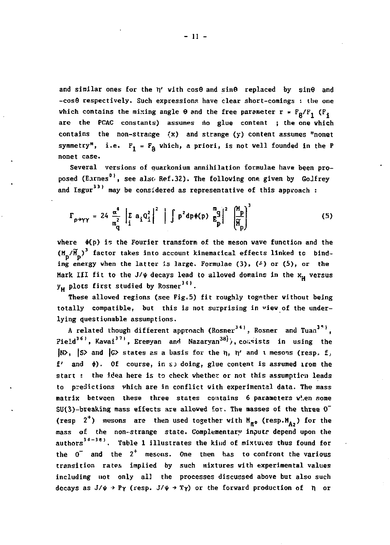and similar ones for the n' with cos0 and sin0 replaced by sin0 and **-cos8 respectively. Such expressions have clear short-comings : the one**  which contains the mixing angle  $\theta$  and the free parameter  $r = F_R/F_I$  ( $F_I$ **are the PCAC constants) assumes no glue content ; the one which contains the non-strange (x) and strange (y) content assumes "nonet**  symmetry", i.e.  $F_1 = F_R$  which, a priori, is not well founded in the P **nonet case.** 

**Several versions of quarkonium annihilation formulae have been proposed (Barnes0 1 , see also Ref.32). The following one given by GoJfrey**  and Isgur<sup>33)</sup> may be considered as representative of this approach :

$$
\Gamma_{p \to \gamma\gamma} = 24 \frac{\alpha^4}{m_q^2} \left| \sum_i a_i Q_i^2 \right|^2 \left| \int p^2 dp \phi(p) \sum_{k=1}^{m} \left( \frac{M_p}{M_p} \right)^2 \right|
$$
 (5)

where  $\phi(p)$  is the Fourier transform of the meson wave function and the  $(M_n/\widetilde{M}_n)^3$  factor takes into account kinematical effects linked to bind**ing energy when the latter is large. Formulae (3), (^) or (5), or the Hark III fit to the**  $J/\psi$  **decays lead to allowed domains in the**  $x_{\mu}$  **versus**  $y_{11}$  plots first studied by Rosner<sup>34)</sup>.

**These allowed regions (see Fig.5) fit roughly together without being totally compatible, but this is not surprising in "iew of the underlying questionable assumptions.** 

A related though different approach (Rosner<sup>34)</sup>, Rosner and Tuan<sup>35)</sup>. **Field3 6 ', Kawai3 7 ', Eremyan and Nazaryan3 8 '), coîisists in using the |N>, |S> and |G> states as a basis for the** *T\,* **h,' and t mesons (resp. f***,*  **f and •) . Of course, in SJ doing, glue content is assumed irom the start : the idea here is to check whether or not this assumption leads to predictions vhich are in conflict with experimental data. The mass matrix between these three states contains 6 parameters wî.en some SU(3)-breaking mass effects are allowed for. The masses of the three 0"**  (resp  $2^+$ ) mesons are then used together with  $M_{\pi^0}$  (resp. $M_{A_2}$ ) for the mass of the non-strange state. Complementary inputs depend upon the authors<sup>34-38)</sup>. Table 1 illustrates the kind of mixtures thus found for **the 0~ and the 2 <sup>+</sup> mesons. One then has to confront the various transition rates implied by such mixtures with experimental values including not only al3 the processes discussed above but also such**  decays as  $J/\psi \rightarrow P\gamma$  (resp.  $J/\psi \rightarrow T\gamma$ ) or the forward production of  $n$  or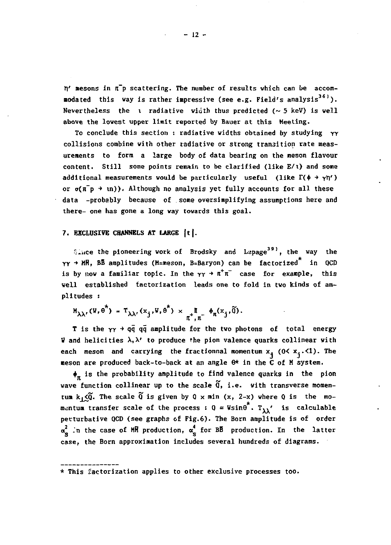$n'$  mesons in  $\bar{n}$  p scattering. The number of results which can be accommodated this way is rather impressive (see e.g. Field's analysis<sup>36)</sup>). Nevertheless the i radiative width thus predicted  $( \sim 5 \text{ keV} )$  is well above the lowest upper limit reported by Bauer at this Meeting.

To conclude this section : radiative widths obtained by studying  $\gamma\gamma$ collisions combine with other radiative or strong transition rate measurements to form a large body of data bearing on the meson flavour content. Still some points remain to be clarified (like E/t) and some additional measurements would be particularly useful (like  $\Gamma(\phi \rightarrow \gamma \eta')$ ) or  $\sigma(\bar{n}$   $\rightarrow$   $\bar{n})$ ). Although no analysis yet fully accounts for all these data -probably because of some oversimplifying assumptions here and there- one has gone a long vay towards this goal.

# **7. EXCLUSIVE CHANNELS AT LARGE |t|.**

*ince the pioneering work of Brodsky and Lapage*<sup>391</sup>, the way the  $\gamma\gamma$  → MR, BB amplitudes (M=meson, B=Baryon) can be factorized<sup>\*</sup> in QCD is by now a familiar topic. In the  $\gamma\gamma \rightarrow \pi^+\pi^-$  case for example, this veil established factorization leads one to fold in tvo kinds of amplitudes :

$$
M_{\lambda\lambda'}(V,e^{\pi}) = T_{\lambda\lambda'}(x_j,W,e^{\pi}) \times \underset{\pi^+, \pi^-}{\pi} \phi_{\pi}(x_j,\widetilde{0}).
$$

T is the  $YY$  +  $q\bar{q}$   $q\bar{q}$  amplitude for the two photons of total energy V and helicities  $\lambda, \lambda'$  to produce the pion valence quarks collinear with each meson and carrying the fractionnal momentum  $x_i$  (0<  $x_i$ .<1). The meson are produced back-to-back at an angle 6\* in the C of M system.

 $\phi_m$  is the probability amplitude to find valence quarks in the pion wave function collinear up to the scale  $\widetilde{q}$ , i.e. with transverse momentum  $k_1 \leq \tilde{Q}$ . The scale  $\tilde{Q}$  is given by  $Q \times min$  (x, 2-x) where Q is the momentum transfer scale of the process :  $0 \approx$  Wsin $\theta^*$ . T<sub>11</sub>' is calculable perturbative QCD (see graphs of Fig.6). The Born amplitude is of order  $\alpha^2$  in the case of MR production,  $\alpha^4$  for BB production. In the latter case, the Born approximation includes several hundreds of diagrams.

<sup>\*</sup> This factorization applies to other exclusive processes too.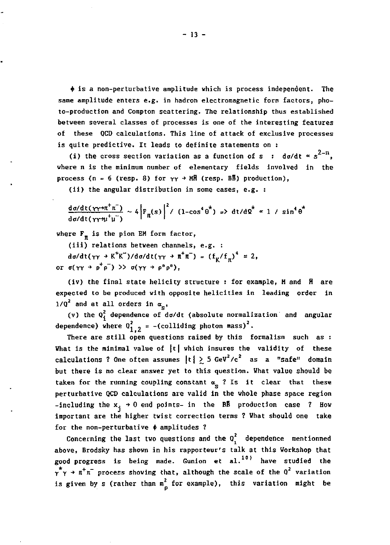**+ is a non-perturbative amplitude which is process independent. The same amplitude enters e.g. in hadron electromagnetic form factors, photo-production and Compton scattering. The relationship thus established between several classes of processes is one of the interesting features of these QCD calculations. This line of attack of exclusive processes is quite predictive. It leads to definite statements on :** 

(i) the cross section variation as a function of s :  $d\sigma/dt \propto s^{2-n}$ . **where n is the minimum number of elementary fields involved in the process (n = 6 (resp. 8) for**  $\gamma\gamma \rightarrow$  **MH** (resp. BE) production),

**(ii) the angular distribution in some cases, e.g. :** 

$$
\frac{d\sigma/dt(\gamma\gamma+n^{\dagger}n^{-})}{d\sigma/dt(\gamma\gamma+n^{\dagger}n^{-})} \sim 4\left|F_{n}(s)\right|^{2}/(1-\cos^{4}\theta^{*}) \Rightarrow dt/d2^{*} \approx 1 / \sin^{4}\theta^{*}
$$

**where F\_ is the pion EM form factor, H** 

**(iii) relations betveen channels, e.g. :**   $d\sigma/dt(\gamma\gamma \to K^{+}K^{-})/d\sigma/dt(\gamma\gamma \to \pi^{+}\pi^{-}) = (f_{\gamma}/f_{\pi})^{4} = 2$ , or  $\sigma(\gamma\gamma \rightarrow p^+p^-)$  >>  $\sigma(\gamma\gamma \rightarrow p^np^p)$ 

**(iv) the final state helicity structure : for example, H and H are expected to be produced with opposite helicities in leading order in**   $1/Q^2$  and at all orders in  $\alpha_n$ ,

**(v) the Q. dependence of da/dt (absolute normalization' and angular**  dependence) where  $0^2_{1,2}$  = -(colliding photon mass)<sup>2</sup>.

**There are still open questions raised by this formalism such as : What is the minimal value of |t| which insures the validity of these**  calculations ? One often assumes  $|t| \geq 5$  GeV<sup>2</sup>/c<sup>2</sup> as a "safe" domain **but there is no clear answer yet to this question. Vhat value should be**  taken for the running coupling constant  $\alpha_{\rm g}$  ? Is it clear that these **perturbative QCD calculations are valid in the whole phase space region**  -including the  $x_1 \rightarrow 0$  end points- in the BB production case ? How **important are the higher twist correction terms ? What should one take for the non-perturbative • amplitudes ?** 

**Concerning the last two questions and the** *Ql* **dependence mentionned above, Brodsky has shown in his rapporteur's talk at this Workshop that good progress is being made. Gunion et al. have studied the**   $\gamma^* \gamma \rightarrow \pi^+ \pi^-$  process showing that, although the scale of the  $Q^2$  variation **is given by s (rather than m2 for example), this variation might be**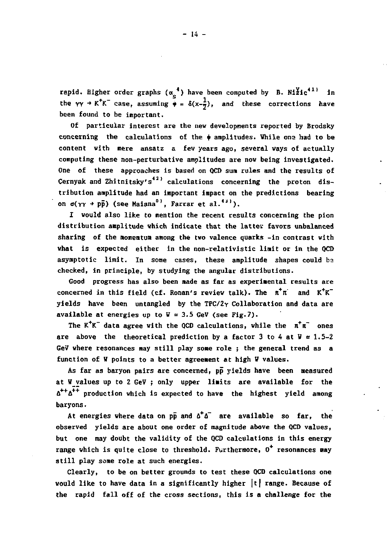**rapid.** Bigher order graphs  $(\alpha_{\rm s}^4)$  have been computed by B. Ni $\frac{y_1}{z_1}$  in the  $\gamma\gamma \rightarrow K^{+}K^{-}$  case, assuming  $\phi = \delta(x-\frac{1}{2})$ , and these corrections have been found to be important.

Of particular interest are the new developments reported by Brodsky concerning the calculations of the  $\phi$  amplitudes. While one had to be content with mere ansatz a few years ago, several ways of actually computing these non-perturbative amplitudes are now being investigated. One of these approaches is based on OCD sum rules and the results of Cernyak and Zhitnitsky's<sup>42)</sup> calculations concerning the proton distribution amplitude had an important impact on the predictions bearing on  $\sigma(\gamma \gamma + p\bar{p})$  (see Maiana<sup>0)</sup>, Farrar et al.<sup>43)</sup>).

I would also like to mention the recent results concerning the pion distribution amplitude which indicate that the latter favors unbalanced sharing of the momemtum among the two valence quarks -in contrast with what is expected either in the non-relativistic limit or in the OCD asymptotic limit. In some cases, these amplitude shapes could be checked, in principle, by studying the angular distributions.

Good progress has also been made as far as experimental results are concerned in this field (cf. Ronan's review talk). The  $\pi^+\pi^-$  and  $K^+K^$ **vields** have been untangled by the TPC/2 $\gamma$  Collaboration and data are **available at energies up to**  $V = 3.5$  **GeV (see Fig.7).** 

The  $K^{+}K^{-}$  data agree with the QCD calculations, while the  $\pi^{+}\pi^{-}$  ones **A** are above the theoretical prediction by a factor 3 to 4 at  $\Psi = 1.5-2$ GeV where resonances may still play some role; the general trend as a function of W points to a better agreement at high W values.

As far as baryon pairs are concerned, pp yields have been measured at W values up to 2 GeV ; only upper limits are available for the  $\Delta^{++}$  $\Delta^{++}$  production which is expected to have the highest yield among **û + + â <sup>+</sup> <sup>+</sup> production which is expected to have the highest yield among** 

At energies where data on  $p\bar{p}$  and  $\Delta^+ \Delta^-$  are available so far. the observed yields are about one order of magnitude above the QCD values, but one may doubt the validity of the QCD calculations in this energy range which is quite close to threshold. Furthermore, O<sup>+</sup> resonances may still play some role at such energies.

Clearly, to be on better grounds to test these QCD calculations one **vould like to have data in a significantly higher |t| range. Because of would like to have data in a significantly higher |t| range. Because of the rapid fall off of the cross sections, this is a challenge for the**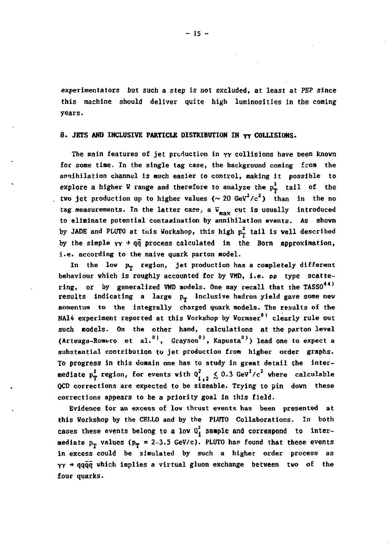experimentators but such a step is not excluded, at least at PBP since this machine should deliver quite high luminosities in the coming years.

# 8. JETS **AND** INCLUSIVE PARTICLE DISTRIBUTION IN yy COLLISIONS.

The main features of jet production in  $\gamma\gamma$  collisions have been known for some tine. In the single tag case, the background coming from the annihilation channel is much easier to control, making it possible to explore a higher W range and therefore to analyze the  $p_T^2$  tail of the two jet production up to higher values  $({\sim 20 \text{ GeV}}^2/c^2)$  than in the no tag measurements. In the latter case, a  $V_{max}$  cut is usually introduced to eliminate potential contamination by annihilation events. As shown by JADE and PLUTO at this Workshop, this high  $p_T^2$  tail is well described by the simple  $\gamma \gamma \rightarrow q\bar{q}$  process calculated in the Born approximation, i.e. according to the naive quark parton model.

In the low  $p_T$  region, jet production has a completely different behaviour which is roughly accounted for by VMD, i.e. pp type scattering, or by generalized VMD models. One may recall that the TASSO<sup>44)</sup> results indicating a large  $p_{\varphi}$  inclusive hadron yield gave some new momentum to the integrally charged quark models. The results of the NA14 experiment reported at this Vorkshop by Vormser<sup>0)</sup> clearly rule out such models. On the other hand, calculations at the parton level (Arteaga-Romero et al.<sup>0)</sup>, Grayson<sup>0)</sup>, Kapusta<sup>0)</sup>) lead one to expect a substantial contribution to jet production from higher order graphs. To progress in this domain one has to study in great detail the intermediate  $p_T^2$  region, for events with  $\vartheta_{1,2}^2 \n\leq 0.3$  GeV<sup>2</sup>/c<sup>2</sup> where calculable QCD corrections are expected to be sizeable. Trying to pin down these corrections appears to be a priority goal in this field.

Evidence for an excess of low thrust events has been presented at this Vorkshop by the CELLO and by the PLUTO Collaborations. In both cases these events belong to a low  $0<sub>i</sub><sup>2</sup>$  sample and correspond to intermediate  $p_T$  values ( $p_T = 2-3.5$  GeV/c). PLUTO has found that these events in excess could be simulated by such a higher order process as  $\gamma\gamma \rightarrow \gamma q\bar{q}\bar{q}$  which implies a virtual gluon exchange between two of the four quarks.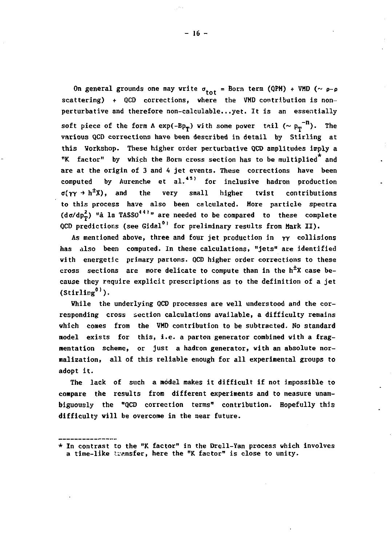On general grounds one may write  $\sigma_{\text{tot}}$  = Born term (QPM) + VMD ( $\sim \rho - \rho$ **scattering) + QCD corrections, where the VHD contribution is nonperturbative and therefore non-calculable...yet. It is an essentially**  soft piece of the form A exp(-Bp<sub>T</sub>) with some power tail  $(\sim p_T^{-n})$ . The **various QCD corrections have been described in detail by Stirling at this Workshop. These higher order perturbative QCD amplitudes imply a "K factor" by which the Born cross section has to be multiplied and are at the origin of 3 and 4 jet events. These corrections have been**  computed by Aurenche et al.<sup>45)</sup> for inclusive hadron production  $\sigma(\gamma \gamma \rightarrow h^{\pm}X)$ , and the very small higher twist contributions **to this process have also been calculated. More particle spectra**   $(d\sigma/dp_m^2)$  "à la TASSO<sup>441</sup>" are needed to be compared to these complete **QCD** predictions (see Gidal<sup>0)</sup> for preliminary results from Mark II).

**As mentioned above, three and four jet production in rr collisions has also been computed. In these calculations, "jets" are identified with energetic primary partons. QCD higher order corrections to these**  cross sections are more delicate to compute than in the h<sup>±</sup>X case be**cause they require explicit prescriptions as to the definition of a jet**   $(\text{Stirling}^0)$ .

**While the underlying QCD processes are well understood and the corresponding cross section calculations available, a difficulty remains which comes from the VMD contribution to be subtracted. No standard model exists for this, i.e. a parton generator combined with a fragmentation scheme, or just a hadron generator, with an absolute normalization, all of this reliable enough for all experimental groups to adopt it.** 

**The lack of such a model makes it difficult if not impossible to compare the results from different experiments and to measure unambiguously the "QCD correction terms" contribution. Hopefully this difficulty will be overcome in the near future.** 

**<sup>\*</sup> In contrast to the "K factor" in the Drell-Yan process which involves a time-like transfer, here the "K factor" is close to unity.**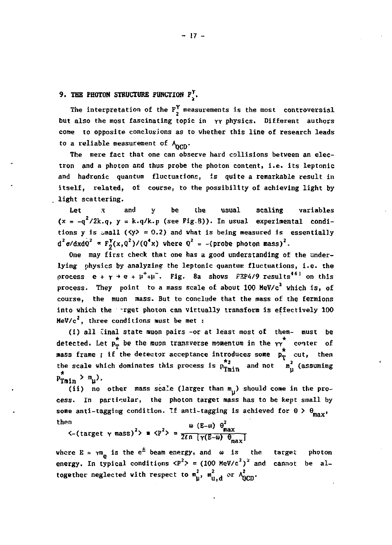# **9. THE PHOTOH STRUCTURE FUNCTIOH** Fj.

The interpretation of the  $F_{2}^{Y}$  measurements is the most controversial but also the most fascinating topic in  $\gamma\gamma$  physics. Different authors come to opposite conclusions as to whether chis line of research leads to a reliable measurement of  $\Lambda_{\text{OCD}}$ .

The mere fact that one can observe hard collisions between an electron and a photon and thus probe the photon content, i.e. its leptonic and hadronic quantum fluctuations, is quite a remarkable result in itself, related, of course, to the possibility of achieving light by light scattering.

Let .v and y be the usual scaling variables  $(x = -q^2/2k.q, y = k.q/k.p$  (see Fig.8)). In usual experimental conditions y is  $\text{small } (\forall y) = 0.2$ ) and what is being measured is essentially d^ $\sigma$ /dxdQ^ ¤ F<sub>2</sub>(x,Q^)/(Q^x) where Q^ = -{probe photon mass)°.

One may first check that one has a good understanding of the underlying physics by analyzing the leptonic quantum fluctuations, i.e. the process  $e + \gamma + e + \mu^+ + \mu^-$ . Fig. 8a shows F3P4/9 results<sup>461</sup> on this process. They point to a mass scale of about 100 MeV/c<sup>2</sup> which is, of course, the muon mass. But to conclude that the mass of the fermions into which the -rget photon can virtually transform is effectively 100  $MeV/c<sup>2</sup>$ , three conditions must be met :

(i) all final state muon pairs -or at least most of them- must be detected. Let  $p_T^*$  be the muon transverse momentum in the  $\gamma^*$  center of mass frame; if the detector acceptance introduces some  $p_T^*$  cut, then the scale which dominates this process is  $p_{Tmin}^{*2}$  and not  $m_{\mu}^{2}$  (assuming  $P$ Tmin  $\frac{m}{\mu}$ ,

(ii) no other mass scale (larger than  $m_{\mu}$ ) should come in the pro-<br>cess. In particular, the photon target mass has to be kept small by some anti-tagging condition. If anti-tagging is achieved for  $\theta > \theta_{\text{max}}$ , some anti-tagging condition. The anti-tagging is condition for  $\epsilon$  ,  $\max$ 

 $K$ -(target  $\gamma$  mass)<sup>2</sup>> = <P<sup>2</sup>> =  $\frac{w(E-\omega) \Theta_{\text{max}}}{2\ell n \left[\gamma(E-\omega) \Theta_{\text{max}}\right]}$ 

re  $E = \gamma m_a$  is the  $e^x$  beam energy, and  $\omega$  is where E = <sub>7</sub>m<sub>e</sub> is the e<sup>-1</sup> beam energy, and ω is the target photon<br>energy. In typical conditions <P<sup>2</sup>> = (100 MeV/c<sup>2</sup>)<sup>2</sup> and cannot be altogether neglected with respect to  $m_{\rm H}^2$ ,  $m_{\rm H,d}^2$  or  $A_{\rm DCD}^2$ . energy. In typical conditions  $\langle P^2 \rangle \approx (100 \text{ MeV/c}^2)$  and cannot be al-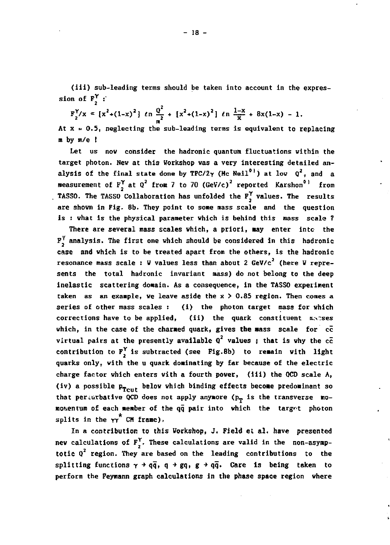**(iii) sub-leading terms should be taken into account in the expres**sion of  $F^{\gamma}$  :

$$
F_2^{\gamma}/x \propto [x^2 + (1-x)^2]
$$
  $\ln \frac{Q^2}{m^2} + [x^2 + (1-x)^2]$   $\ln \frac{1-x}{x} + 8x(1-x) - 1$ .

**At x - 0.5, neglecting the sub-leading terms is equivalent to replacing m by m/e I** 

**Let us now consider the hadronic quantum fluctuations within the target photon. New at this Workshop was a very interesting detailed analysis of the final state done by TPC/2** $\gamma$  **(Mc Neil<sup>01</sup>) at low**  $Q^2$ **, and a measurement of F <sup>Y</sup> at Q2 from 7 to 70 (GeVVc)2 reported Karshon<sup>0</sup> <sup>1</sup> from TASSO. The TASSO Collaboration has unfolded the F <sup>r</sup> values. The results are shown in Fig. 8b. They point to some mass scale and the question is : what is the physical parameter which is behind this mass scale ?** 

**There are several mass scales which, a priori, may enter into the F J analysis. The first one vhich should be considered in this hadronic case and vhich is to be treated apart from the others, is the hadronic**  resonance mass scale : W values less than about 2 GeV/c<sup>2</sup> (here W repre**sents the total hadronic invariant mass) do not belong to the deep inelastic scattering domain. As a consequence, in the TASSO experiment taken as an example, ve leave aside the x > 0.85 region. Then comes a series of other mass scales :** (i) the photon target mass for which corrections have to be applied, (ii) the quark constituent masses **(ii)** the quark constituent macses **which, in the case of the charmed quark, gives the aass scale for cc**  virtual pairs at the presently available  $Q^2$  values ; that is why the  $c\bar{c}$ contribution to  $F'$ , is subtracted (see Fig.8b) to remain with light **quarks only, with the u quark dominating by far because of the electric charge factor vhich enters with a fourth power, (iii) the QCD scale A,**  (iv) a possible  $p_{\text{Tcut}}$  below which binding effects become predominant so that perfurbative QCD does not apply anywore (p<sub>p</sub> is the transverse mo**nouentum of each member of the qq pair into vhich the targrt photon**  splits in the  $\gamma^*$  CM frame).

**In a contribution to this Workshop, J. Field et al. have presented new calculations of F<sup>Y</sup> . These calculations are valid in the non-asymp**totic Q<sup>2</sup> region. They are based on the leading contributions to the splitting functions  $\gamma \rightarrow q\bar{q}$ ,  $q \rightarrow gq$ ,  $g \rightarrow q\bar{q}$ . Care is being taken to **perform the Feymann graph calculations in the phase space region vhere**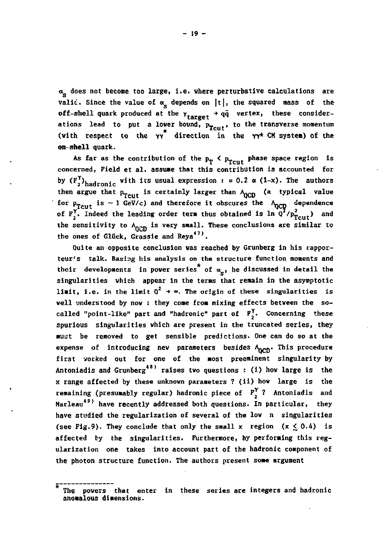**a does not become too large, i.e. where perturbative calculations are**  valid. Since the value of  $\alpha_c$  depends on  $|t|$ , the squared mass of the **off-shell quark produced at the**  $\gamma$  **<b>t**  $\gamma$  **extex**, these considerations lead to put a lover bound, p<sub>rout</sub>, to the transverse momentum (with respect to the  $\gamma \gamma^*$  direction in the  $\gamma \gamma^*$  CM system) of the **on-shell quark.** 

As far as the contribution of the  $p_T < p_{T \text{cut}}$  phase space region is **concerned, Field et al. assume that this contribution is accounted for**  by  $(F^{\prime}_{\sigma})_{\sigma}$  adronic with its usual expression :  $\simeq 0.2$   $\alpha$  (1-x). The author then argue that p<sub>Tcut</sub> is certainly larger than  $\lambda_{\text{QCD}}$  (a typical value **for p<sub>rout</sub> is ~ 1 GeV/c) and therefore it obscures the A<sub>QCD</sub> dependence is and the about the set of the set of the set of the set of the set of the set of the set of the set of the set of the set of the set of the set of F<sub>1</sub>, Indeed the leading order term thus obtained is in Q /** $p_{T \text{cut}}$  **) and** the sensitivity to A<sub>non</sub> is very small. These conclusions are similar to the ones of Glück, Grassie and Reya<sup>47)</sup>.

**Oui te an opposite conclusion was reached by Grunberg in his rapporteur's talk. Basing his analysis on the structure function moments and**  their developments in power series<sup>\*</sup> of  $\alpha_n$ , he discussed in detail the **singularities vhich appear in the terms that remain in the asymptotic limit, i.e.** in the limit  $Q^2 \rightarrow \infty$ . The origin of these singularities is **well understood by nov : they come from mixing effects between the socalled "point-like" part and "hadronic" part of F^. Concerning these spurious singularities which are present in the truncated series, they must be removed to get sensible predictions. One can do so at the**  expense of introducing nev parameters besides A<sub>ppen</sub>. This procedure **first votked out for one of the most preeminent singularity by**  Antoniadis and Grunberg<sup>48)</sup> raises two questions : (i) how large is the *x* **range affected by these unknown parameters ? (ii) how large is the remaining (presumably regular) hadronic piece of Fj ? Antoniadis and Harleau4 9 ' have recently addressed both questions. In particular, they have studied the regularization of several of the low n singularities**  (see Fig.9). They conclude that only the small x region  $(x \le 0.4)$  is **affected by the singularities. Furthermore, by performing this regularization one takes into account part of the hadronic component of the photon structure function. The authors present some argument** 

**The powers that enter in these series are integers and hadronic anomalous dimensions.**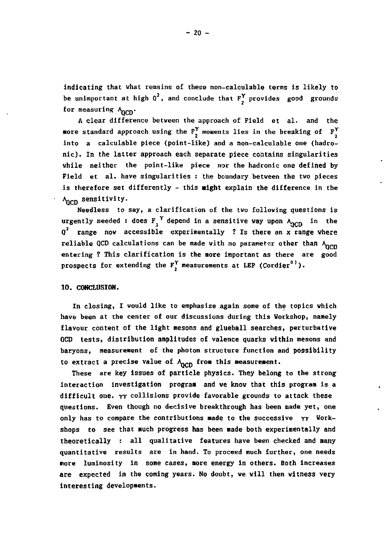indicating that what remains of these non-calculable terms is likely to be unimportant at high  $Q^2$ , and conclude that  $F^{\gamma}$  provides good grounds for measuring  $A_{\text{MCD}}$ .

A clear difference between the approach of Field et al. and the more standard approach using the  $F_1^{\gamma}$  moments lies in the breaking of  $F_1^{\gamma}$ into a calculable piece (point-like) and a non-calculable one (hadronic). In the latter approach each separate piece contains singularities while neither the point-like piece nor the hadronic one defined by Field et al. have singularities : the boundary between the two pieces is therefore set differently - this **might** explain the difference in the  $\Lambda_{\rm NCD}$  sensitivity.

Needless to say, a clarification of the two following questions is urgently needed : does F,' depend in a sensitive way upon  $\Lambda_{\rm ncm}$  in the Q <sup>2</sup> range now accessible experimentally ? Is there an x range where reliable QCD calculations can be made with no parameter other than  $\Lambda_{\text{DCD}}$ entering ? This clarification is the more important as there are good prospects for extending the  $F^{\gamma}$  measurements at LEP (Cordier<sup>0)</sup>).

# 10. CONCLUSION.

In closing, I would like to emphasize again some of the topics which have been at the center of our discussions during this Workshop, namely flavour content of the light mesons and glueball searches, perturbative OCD tests, distribution amplitudes of valence quarks within mesons and baryons, measurement of the photon structure function and possibility to extract a precise value of  $A_{\text{OCD}}$  from this measurement.

These are key issues of particle physics. They belong to the strong interaction investigation program and we know that this program is a difficult one. YY collisions provide favorable grounds to attack these questions. Even though no decisive breakthrough has been made yet, one only has to compare the contributions made to the successive  $\gamma\gamma$  Workshops to see that much progress has been made both experimentally and theoretically : all qualitative features have been checked and many quantitative results are in hand. To proceed much further, one needs more luminosity in some cases, more energy in others. Both increases are expected in the coming years. No doubt, we will then witness very interesting developments.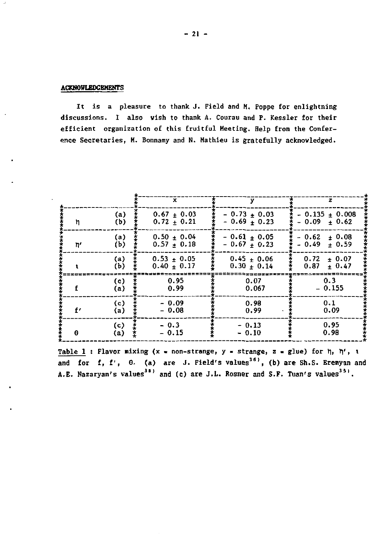# **ACKNOWLEDGEMENTS**

It is a pleasure to thank J. Field and M. Poppe for enlightning discussions. I also wish to thank A. Courau and P. Kessler for their efficient organization of this fruitful Meeting. Help from the Conference Secretaries, M. Bonnamy and N. Mathieu is gratefully acknowledged.

|     |                    | ×                                | v                                | z                                       |
|-----|--------------------|----------------------------------|----------------------------------|-----------------------------------------|
| 'n  | (a)                | $0.67 \pm 0.03$                  | $-0.73 + 0.03$                   | $-0.135 + 0.008$                        |
|     | (b)                | $0.72 + 0.21$                    | $-0.69 + 0.23$                   | $-0.09 + 0.62$                          |
| 'n, | (a)<br>(b)         | $0.50 \pm 0.04$<br>$0.57 + 0.18$ | $-0.61 + 0.05$<br>$-0.67 + 0.23$ | ± 0.08<br>$-0.62$<br>$-0.49$<br>$+0.59$ |
|     | (a)<br>(b)         | $0.53 + 0.05$<br>$0.40 + 0.17$   | $0.45 + 0.06$<br>$0.30 + 0.14$   | 0.72<br>± 0.07<br>0.87<br>$+0.47$       |
| £   | (c)                | 0.95                             | 0.07                             | 0.3                                     |
|     | (a)                | 0.99                             | 0.067                            | $-0.155$                                |
| f'  | $\left( c \right)$ | $-0.09$                          | 0.98                             | 0.1                                     |
|     | (a)                | $-0.08$                          | 0.99                             | 0.09                                    |
| θ   | (c)                | $-0.3$                           | $-0.13$                          | 0.95                                    |
|     | (a)                | $-0.15$                          | $-0.10$                          | 0.98                                    |

Table 1 : Flavor mixing (x = non-strange, y = strange, z = glue) for  $\eta$ ,  $\eta'$ , t and for f, f', 0. (a) are J. Field's values<sup>36</sup>, (b) are Sh.S. Eremyan and A.E. Nazaryan's values<sup>38)</sup> and (c) are J.L. Rosner and S.F. Tuan's values<sup>351</sup>.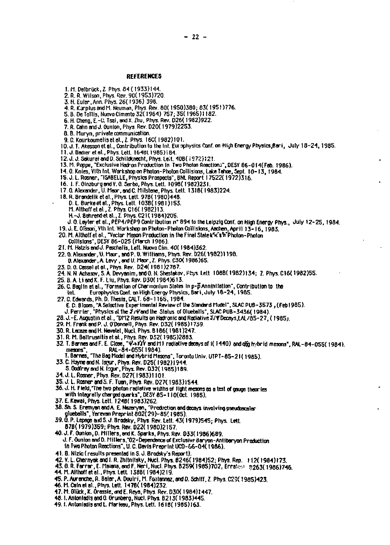# **REFERENCES**

- 1. M. Delbrück, Z. Phys. 84 (1933)144.
- 2. R. R. Wilson, Phys. Rev. 90(1953)720.
- 3. H. Euler, Ann. Phys. 26(1936) 398.
- 4. R. Karplus and M. Neuman, Phys. Rev. 80(1950)380; 83(1951)776.
- 5. B. De Tollis, Nuovo Cimento 32(1964) 757; 35(1965)1182.
- 6. H. Cheng, E.-C. Tsai, and X. Zhu, Phys. Rev. D26(1982)922.
- 7. R. Cann and J. Ounion, Phys. Rev. D20(1979)2253.
- 8. B. Muryn, private communication
- 9. C. Kourkoumelis et al., Z. Phys. 16C(1982)101.
- 10. J. T. Akesson et al., Contribution to the Int. Europhysics Conf. on High Energy Physics, Bari, July 18-24, 1985.
- 11. J. Badier et al., Phys. Lett. 1648(1985); 84.
- 12. J. J. Sekural and D. Schildknecht, Phys. Leit. 40B(1972)121.
- 13. M. Poppe, "Exclusive Hadron Production in Two Photon Reactions", DESY 86-014(Feb. 1986).
- 14. O. Knies, VIII Int. Workshop on Photon-Photon Collisions, Lake Tahoe, Sept. 10-13, 1984.
- 15. J. L. Rosner, "ISABELLE, Physics Prospects", BNL Report 17522(1972)316.<br>16. J. F. Ginzburg and Y. G. Serba, Phys. Lett. 1098(1982)231.
- 
- 17. G. Alexander, U. Meor, and C. Milstene, Phys. Lett. 1318(1983)224.
- 18. R. Brandelik et al., Phys. Lett. 978(1980)448.<br>D. L. Burke et al., Phys. Lett. 103B(1981)153.
	-
	- M. Althoff et al., Z. Phys. C16(1982)13
	- H.-J. Behrend et al., Z. Phys. C21(1984)205.
	- J. G. Leyter et al., PEP4/PEP9 Contribution nº 894 to the Leipzig Conf. on High Energy Phys., July 12-25, 1984.
- 19. J. E. Ofsson, Vth Int. Workshop on Photon-Photon Callisions, Acchen, April 13-16, 1983.
- 20. M. Althoff et al., "Vector Meson Production in the Final State k'x's in Photon-Photon
- Collisions", DESY 86-025 (March 1986).
- 21. M. Hatzis and J. Paschalis, Lett. Nuovo Cim. 40(1984)362.
- 22. G. Alexander, U. Maor., and P. O. Williams, Phys. Rev. 026(1982)1198.
- 0. Alexander, A. Levy, and U. Maor, Z. Phys. C30(1986)65.
- 23. D. G. Cassel et al., Phys. Rev. D24(1981)2787.
- 24. N. N. Achasov, S. A. Devyanim, and G. N. Shestakov, Phys. Lett. 108B(1982)134; 2. Phys. C16(1982)55.
- 25. B. A. Li and K. F. Liu, Phys. Rev. D30(1984)613
- 26. C. Baulin et al., "Formation of Charmonium States in p-p Annihilation", Contribution to the
- Europhysics Conf. on High Energy Physics, Bari, July 18-24, 1985. Int.
- 27. C. Edwards, Ph. D. Thesis, CALT. 68-1165, 1984.
	- E. D. Bloom, "A Selective Experimental Review of the Standard Mudel", SLAC PUB-3573 , (Feb 1985).<br>J. Perrier, "Physics at the J/Pand the Status of Olueballs", SLAC PUB-3436(1984).
	-
- 28. J.-E. Augustin et al., "DM2 Results on Hadronic and Radiative J/W Decays LAL/85-27. (1985).
- 29. M. Frank and P. J. (fDonnell, Phys. Rev. D32(1985)1739.
- 30. R. Lecaze and H. Nevelet, Nucl. Phys. B186(1981)247.
- 31. R. M. Baltrussitis et al., Phys. Rev. D32(1985)2883.
- 32. T. Barnes and F. E. Close, " $\psi \rightarrow YY$  and M1 radiative decays of i(1440) and gig tribrid mesons". RAL-84-055(1984). RAL-84-055(1984) meens:
- T. Barnes, "The Bag Model and Hybrid Mesons", Toronto Univ. UTPT-85-21 (1985).
- 33. C. Hayne and N. Isrun, Phys. Rev. D25(1982)1944.
- S. Godfrey and N. Equr., Phys. Rev. 032(1985)189.
- 34. J. L. Rosner, Phys. Rev. D27(1983)1101
- 35. J. L. Rosner and S. F. Tuan, Phys. Rev. D27(1983)1544.
- 36. J. H. Field, "The two photon radiative widths of light mesons as a test of gauge theories with integrally charged quarks", DESY 85-110(Oct. 1985).
- 37. E. Kawai, Phys. Lett. 1248(1983)262.
- 38. Sh. S. Eremyan and A. E. Nazaryan, "Production and decays involving pseudoscaler glueballs", Yerevan Preprint 802(29)-85' 1985).
- 39. Ö. P. Lepage and S. J. Brodsky, Phys. Rev. Lett. 43(1979)545; Phys. Lett.
- 878 (1979) 359; Phys. Rev. 022 (1980) 2157.
- 40. J. F. Gunion, D. Millers, and K. Sparks, Phys. Rev. 033(1986)689. J. F. Gunton and D. Millers, "02-Dependence of Exclusive Baryon-Antibaryon Production in Two Photon Reactions", U. C. Davis Preprint UCD-56-04(1986).
- 41. B. Nizic (results presented in S. J. Brodsky's Report).
- 
- 42. V. L. Cherinyak and I. R. Zhitnitsky, Nucl. Phys. 8246(1984)52; Phys. Rep. 112(1984)173.<br>43. B. R. Farrar, E. Maiana, and F. Neri, Nucl. Phys. 8259(1985)702, Erratest 8263(1986)746.
- 44. M. Althoff et al., Phys. Lett. 1388(1984)219.
- 45. P. Aurenche, R. Baler, A. Doulni, M. Fontennez, and D. Schiff, Z. Phys. C29(1985)423.
- 46. M. Cain et al., Phys. Lett. 1478 (1984) 232.
- 17. M. Glück, K. Órassie, and E. Reya, Phys. Rev. D30(1984)1447.
- 48. I. Antoniadis and 0. Grunberg, Nucl. Phys. B213(1983)445.
- 49. I. Antoniedis and L. Marleau, Phys. Lett. 1618(1985)163.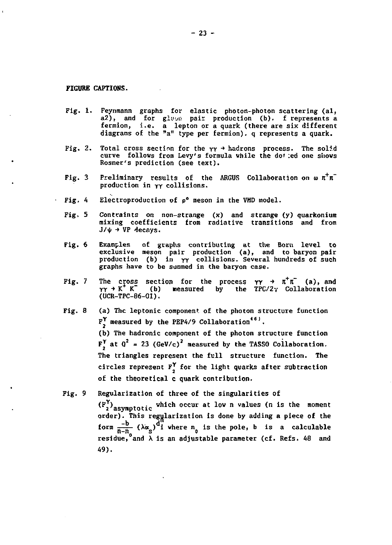**FIGURE CAFTIONS.** 

÷,

- Fig. **1.** Feynmann graphs for elastic photon-photon scattering (al, a2), and for gluun pair production (b). f represents a fermion, i.e. a lepton or a quark (there are six different diagrams of the "a" type per farmion). q represents a quark.
- Fig. 2. Total cross section for the  $\gamma \gamma \rightarrow$  hadrons process. The solid curve follows from Levy's formula while the do! :ed one shows Rosner's prediction (see text).
- Fig. 3 Preliminary results of the ARGUS Collaboration on  $\omega \pi^+\pi^$ production in YY collisions.
- Fig. 4 Electroproduction of  $\rho^0$  meson in the VMD model.
	- Fig, 5 Contraints on non-strange (x) and strange (y) quarkonium mixing coefficients from radiative transitions and from  $J/\psi$  + VP decays.
	- Fig. 6 Examples of graphs contributing at the Born level to<br>exclusive meson pair production (a), and to baryon pair<br>production (b) in YY collisions. Several hundreds of such graphs have to be summed in the baryon case.
- Fig. 7 The cross section for the process  $\gamma \gamma \rightarrow \pi^+ \pi^-$  (a), and  $\gamma \gamma \rightarrow K^+ K^-$  (b) measured by the TPC/2 $\gamma$  Collaboration by the TPC/2y Collaboration (UCR-TPC-86-01).
- Fig. 8 (a) The leptonic component of the photon structure function  $F^{\gamma}$  measured by the PEP4/9 Collaboration<sup>461</sup>.

(b) The hadronic component of the photon structure function  $F_{\lambda}^{\gamma}$  at  $Q^2 = 23$  (GeV/c)<sup>2</sup> measured by the TASSO Collaboration. The triangles represent the full structure function. The of the theoretical c quark contribution. circles represent  $F^{\Upsilon}$  for the light quarks after subtraction

Fig. 9 Regularization of three of the singularities of

(F<sub>1</sub>)<sub>asvmptotic</sub> which occur at low n values (n is the momen order). This regularization is done by adding a piece of the form  $\frac{1}{n-n_s}$  ( $\lambda \alpha_s$ ) i where  $n_0$  is the pole, b is a calculable residue, and  $\lambda$  is an adjustable parameter (cf. Refs. 48 and 49).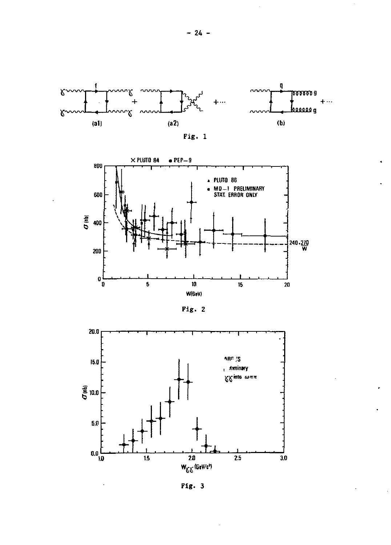





 $Fig. 2$ 



Fig. 3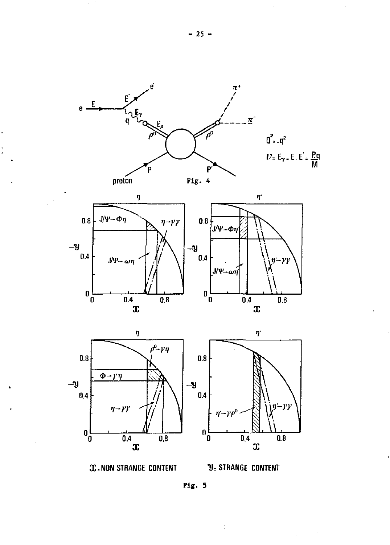

l.

İ



Fig. 5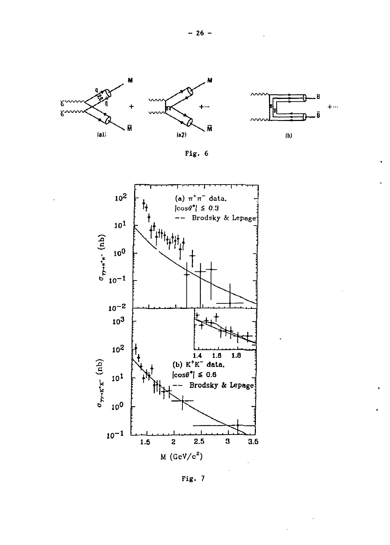







Fig. 7